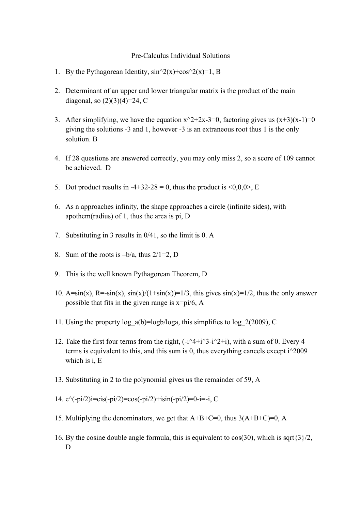## Pre-Calculus Individual Solutions

- 1. By the Pythagorean Identity,  $\sin^{2}(x)+\cos^{2}(x)=1$ , B
- 2. Determinant of an upper and lower triangular matrix is the product of the main diagonal, so  $(2)(3)(4)=24$ , C
- 3. After simplifying, we have the equation  $x^2+2x-3=0$ , factoring gives us  $(x+3)(x-1)=0$ giving the solutions -3 and 1, however -3 is an extraneous root thus 1 is the only solution. B
- 4. If 28 questions are answered correctly, you may only miss 2, so a score of 109 cannot be achieved. D
- 5. Dot product results in -4+32-28 = 0, thus the product is  $\langle 0,0,0 \rangle$ , E
- 6. As n approaches infinity, the shape approaches a circle (infinite sides), with apothem(radius) of 1, thus the area is pi, D
- 7. Substituting in 3 results in 0/41, so the limit is 0. A
- 8. Sum of the roots is  $-b/a$ , thus  $2/1=2$ , D
- 9. This is the well known Pythagorean Theorem, D
- 10.  $A=sin(x)$ ,  $R=sin(x)$ ,  $sin(x)/(1+sin(x))=1/3$ , this gives  $sin(x)=1/2$ , thus the only answer possible that fits in the given range is  $x=pi/6$ , A
- 11. Using the property log  $a(b)=logb/loga$ , this simplifies to log 2(2009), C
- 12. Take the first four terms from the right,  $(-i^4+i^3-i^2+i)$ , with a sum of 0. Every 4 terms is equivalent to this, and this sum is 0, thus everything cancels except i^2009 which is i, E
- 13. Substituting in 2 to the polynomial gives us the remainder of 59, A
- 14.  $e^{\hat{ }}(-pi/2)i=cis(-pi/2)=cos(-pi/2)+isin(-pi/2)=0-i=-i, C$
- 15. Multiplying the denominators, we get that  $A+B+C=0$ , thus  $3(A+B+C)=0$ , A
- 16. By the cosine double angle formula, this is equivalent to  $cos(30)$ , which is sqrt $\{3\}/2$ , D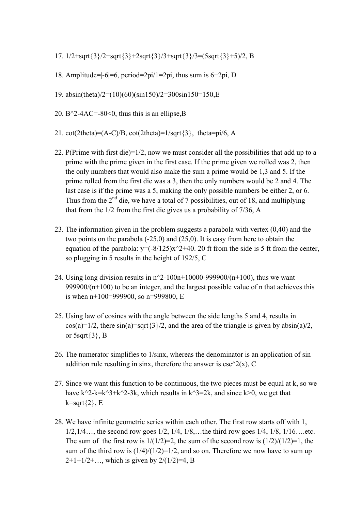- 17. 1/2+sqrt{3}/2+sqrt{3}+2sqrt{3}/3+sqrt{3}/3=(5sqrt{3}+5)/2, B
- 18. Amplitude=|-6|=6, period=2pi/1=2pi, thus sum is 6+2pi, D
- 19. absin(theta)/2=(10)(60)(sin150)/2=300sin150=150,E
- 20. B^2-4AC=-80<0, thus this is an ellipse, B
- 21. cot(2theta)= $(A-C)/B$ , cot(2theta)= $1/sqrt{3}$ , theta=pi/6, A
- 22. P(Prime with first die)=1/2, now we must consider all the possibilities that add up to a prime with the prime given in the first case. If the prime given we rolled was 2, then the only numbers that would also make the sum a prime would be 1,3 and 5. If the prime rolled from the first die was a 3, then the only numbers would be 2 and 4. The last case is if the prime was a 5, making the only possible numbers be either 2, or 6. Thus from the  $2<sup>nd</sup>$  die, we have a total of 7 possibilities, out of 18, and multiplying that from the 1/2 from the first die gives us a probability of 7/36, A
- 23. The information given in the problem suggests a parabola with vertex (0,40) and the two points on the parabola  $(-25,0)$  and  $(25,0)$ . It is easy from here to obtain the equation of the parabola:  $y=(-8/125)x^2+40$ . 20 ft from the side is 5 ft from the center, so plugging in 5 results in the height of 192/5, C
- 24. Using long division results in  $n^2-100n+10000-999900/(n+100)$ , thus we want 999900/ $(n+100)$  to be an integer, and the largest possible value of n that achieves this is when n+100=999900, so n=999800, E
- 25. Using law of cosines with the angle between the side lengths 5 and 4, results in  $cos(a)=1/2$ , there  $sin(a)=sqrt{3}/2$ , and the area of the triangle is given by  $absin(a)/2$ , or  $5$ sqrt $\{3\}$ , B
- 26. The numerator simplifies to 1/sinx, whereas the denominator is an application of sin addition rule resulting in sinx, therefore the answer is  $csc^2( x)$ , C
- 27. Since we want this function to be continuous, the two pieces must be equal at k, so we have k^2-k=k^3+k^2-3k, which results in k^3=2k, and since k>0, we get that  $k=sqrt{2}$ , E
- 28. We have infinite geometric series within each other. The first row starts off with 1, 1/2,1/4…, the second row goes 1/2, 1/4, 1/8,…the third row goes 1/4, 1/8, 1/16….etc. The sum of the first row is  $1/(1/2)=2$ , the sum of the second row is  $(1/2)/(1/2)=1$ , the sum of the third row is  $(1/4)/(1/2)=1/2$ , and so on. Therefore we now have to sum up  $2+1+1/2+...$ , which is given by  $2/(1/2)=4$ , B